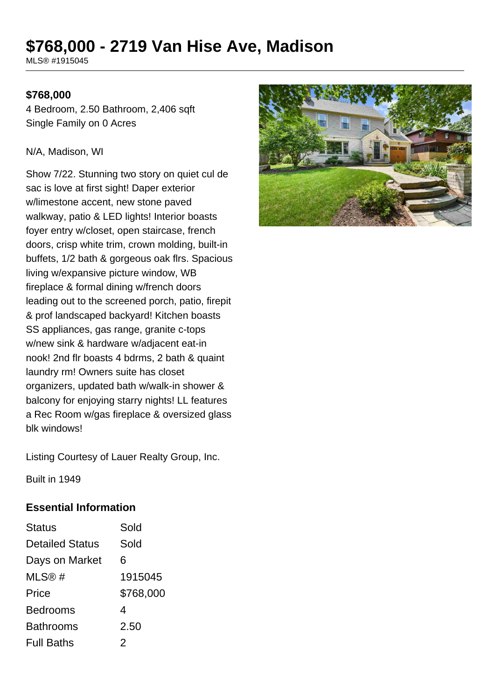# **\$768,000 - 2719 Van Hise Ave, Madison**

MLS® #1915045

#### **\$768,000**

4 Bedroom, 2.50 Bathroom, 2,406 sqft Single Family on 0 Acres

#### N/A, Madison, WI

Show 7/22. Stunning two story on quiet cul de sac is love at first sight! Daper exterior w/limestone accent, new stone paved walkway, patio & LED lights! Interior boasts foyer entry w/closet, open staircase, french doors, crisp white trim, crown molding, built-in buffets, 1/2 bath & gorgeous oak flrs. Spacious living w/expansive picture window, WB fireplace & formal dining w/french doors leading out to the screened porch, patio, firepit & prof landscaped backyard! Kitchen boasts SS appliances, gas range, granite c-tops w/new sink & hardware w/adjacent eat-in nook! 2nd flr boasts 4 bdrms, 2 bath & quaint laundry rm! Owners suite has closet organizers, updated bath w/walk-in shower & balcony for enjoying starry nights! LL features a Rec Room w/gas fireplace & oversized glass blk windows!

Listing Courtesy of Lauer Realty Group, Inc.

Built in 1949

#### **Essential Information**

| Status                 | Sold      |
|------------------------|-----------|
| <b>Detailed Status</b> | Sold      |
| Days on Market         | 6         |
| MLS@#                  | 1915045   |
| Price                  | \$768,000 |
| <b>Bedrooms</b>        | 4         |
| Bathrooms              | 2.50      |
| <b>Full Baths</b>      | 2         |

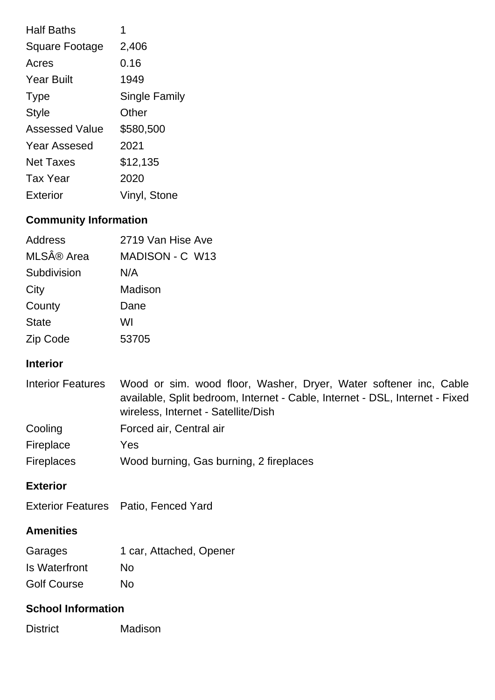| <b>Half Baths</b>     | 1                    |
|-----------------------|----------------------|
| <b>Square Footage</b> | 2,406                |
| Acres                 | 0.16                 |
| <b>Year Built</b>     | 1949                 |
| <b>Type</b>           | <b>Single Family</b> |
| <b>Style</b>          | Other                |
| <b>Assessed Value</b> | \$580,500            |
| <b>Year Assesed</b>   | 2021                 |
| <b>Net Taxes</b>      | \$12,135             |
| <b>Tax Year</b>       | 2020                 |
| Exterior              | Vinyl, Stone         |

## **Community Information**

| Address      | 2719 Van Hise Ave |
|--------------|-------------------|
| MLS® Area    | MADISON - C W13   |
| Subdivision  | N/A               |
| City         | Madison           |
| County       | Dane              |
| <b>State</b> | WI                |
| Zip Code     | 53705             |

#### **Interior**

| <b>Interior Features</b> | Wood or sim. wood floor, Washer, Dryer, Water softener inc, Cable<br>available, Split bedroom, Internet - Cable, Internet - DSL, Internet - Fixed<br>wireless, Internet - Satellite/Dish |
|--------------------------|------------------------------------------------------------------------------------------------------------------------------------------------------------------------------------------|
| Cooling                  | Forced air, Central air                                                                                                                                                                  |
| Fireplace                | Yes                                                                                                                                                                                      |
| <b>Fireplaces</b>        | Wood burning, Gas burning, 2 fireplaces                                                                                                                                                  |

### **Exterior**

### **Amenities**

| Garages            | 1 car, Attached, Opener |
|--------------------|-------------------------|
| Is Waterfront      | No                      |
| <b>Golf Course</b> | No                      |

#### **School Information**

District Madison